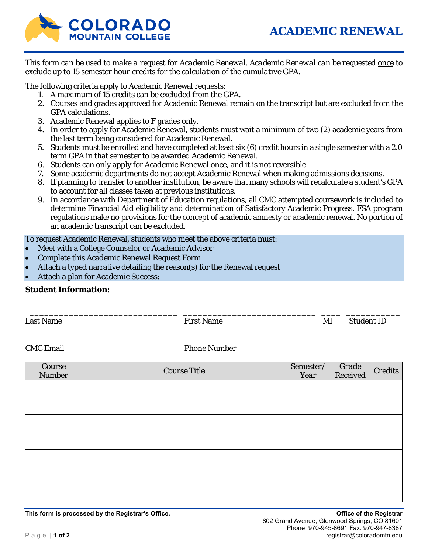

*This form can be used to make a request for Academic Renewal. Academic Renewal can be requested once to exclude up to 15 semester hour credits for the calculation of the cumulative GPA.* 

The following criteria apply to Academic Renewal requests:

- 1. A maximum of 15 credits can be excluded from the GPA.
- 2. Courses and grades approved for Academic Renewal remain on the transcript but are excluded from the GPA calculations.
- 3. Academic Renewal applies to F grades only.
- 4. In order to apply for Academic Renewal, students must wait a minimum of two (2) academic years from the last term being considered for Academic Renewal.
- 5. Students must be enrolled and have completed at least six (6) credit hours in a single semester with a 2.0 term GPA in that semester to be awarded Academic Renewal.
- 6. Students can only apply for Academic Renewal once, and it is not reversible.
- 7. Some academic departments do not accept Academic Renewal when making admissions decisions.
- 8. If planning to transfer to another institution, be aware that many schools will recalculate a student's GPA to account for all classes taken at previous institutions.
- 9. In accordance with Department of Education regulations, all CMC attempted coursework is included to determine Financial Aid eligibility and determination of Satisfactory Academic Progress. FSA program regulations make no provisions for the concept of academic amnesty or academic renewal. No portion of an academic transcript can be excluded.

To request Academic Renewal, students who meet the above criteria must:

- Meet with a College Counselor or Academic Advisor
- Complete this Academic Renewal Request Form
- Attach a typed narrative detailing the reason(s) for the Renewal request

\_\_\_\_\_\_\_\_\_\_\_\_\_\_\_\_\_\_\_\_\_\_\_\_\_\_\_\_\_\_ \_\_\_\_\_\_\_\_\_\_\_\_\_\_\_\_\_\_\_\_\_\_\_\_\_\_\_

Attach a plan for Academic Success:

## **Student Information:**

Last Name The Student ID Research Student ID Research Student ID Research Student ID

\_\_\_\_\_\_\_\_\_\_\_\_\_\_\_\_\_\_\_\_\_\_\_\_\_\_\_\_\_\_ \_\_\_\_\_\_\_\_\_\_\_\_\_\_\_\_\_\_\_\_\_\_\_\_\_\_\_ \_\_\_\_ \_\_\_\_\_\_\_\_\_\_\_

CMC Email Phone Number

| Course<br><b>Number</b> | <b>Course Title</b> | Semester/<br>Year | Grade<br>Received | <b>Credits</b> |
|-------------------------|---------------------|-------------------|-------------------|----------------|
|                         |                     |                   |                   |                |
|                         |                     |                   |                   |                |
|                         |                     |                   |                   |                |
|                         |                     |                   |                   |                |
|                         |                     |                   |                   |                |
|                         |                     |                   |                   |                |
|                         |                     |                   |                   |                |

**This form is processed by the Registrar's Office. Office of the Registrar**